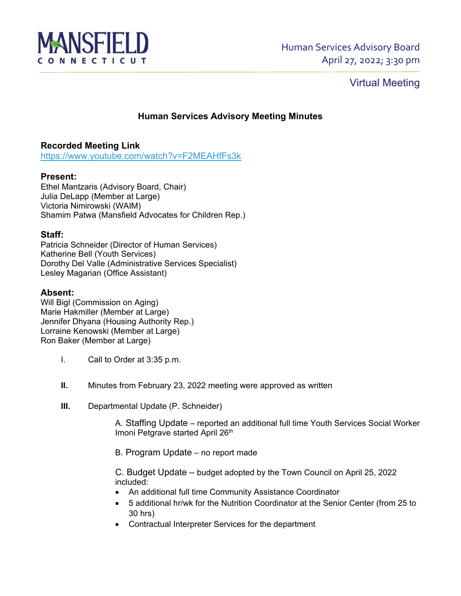

# Virtual Meeting

## **Human Services Advisory Meeting Minutes**

## **Recorded Meeting Link**

<https://www.youtube.com/watch?v=F2MEAHfFs3k>

### **Present:**

Ethel Mantzaris (Advisory Board, Chair) Julia DeLapp (Member at Large) Victoria Nimirowski (WAIM) Shamim Patwa (Mansfield Advocates for Children Rep.)

### **Staff:**

Patricia Schneider (Director of Human Services) Katherine Bell (Youth Services) Dorothy Del Valle (Administrative Services Specialist) Lesley Magarian (Office Assistant)

### **Absent:**

Will Bigl (Commission on Aging) Marie Hakmiller (Member at Large) Jennifer Dhyana (Housing Authority Rep.) Lorraine Kenowski (Member at Large) Ron Baker (Member at Large)

- I. Call to Order at 3:35 p.m.
- **II.** Minutes from February 23, 2022 meeting were approved as written
- **III.** Departmental Update (P. Schneider)

A. Staffing Update – reported an additional full time Youth Services Social Worker Imoni Petgrave started April 26th

B. Program Update – no report made

C. Budget Update – budget adopted by the Town Council on April 25, 2022 included:

- An additional full time Community Assistance Coordinator
- 5 additional hr/wk for the Nutrition Coordinator at the Senior Center (from 25 to 30 hrs)
- Contractual Interpreter Services for the department